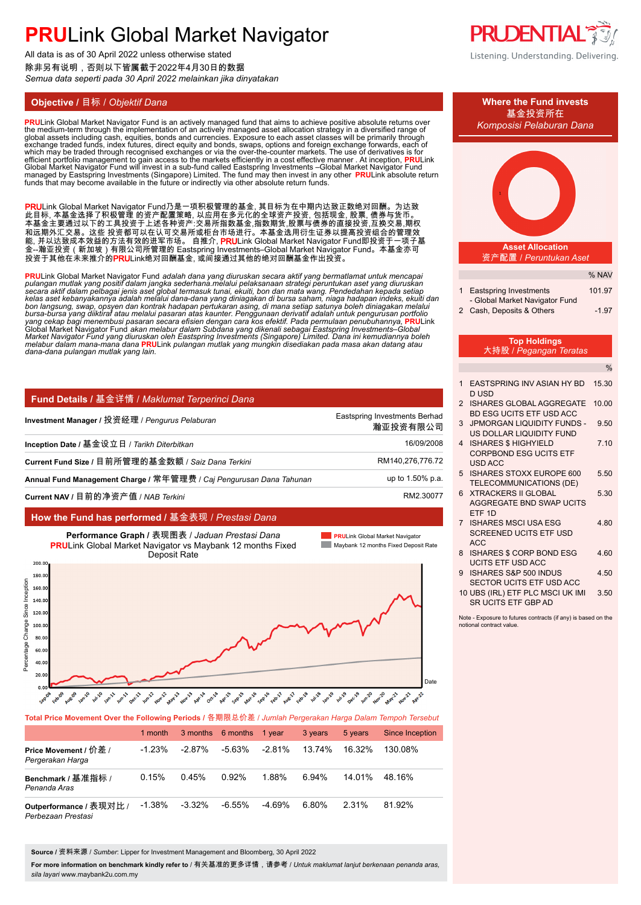All data is as of 30 April 2022 unless otherwise stated 除非另有说明,否则以下皆属截于2022年4月30日的数据 *Semua data seperti pada 30 April 2022 melainkan jika dinyatakan*

<mark>PRU</mark>Link Global Market Navigator Fund is an actively managed fund that aims to achieve positive absolute returns over<br>the medium-term through the implementation of an actively managed asset allocation strategy in a divers global assets including cash, equities, bonds and currencies. Exposure to each asset classes will be primarily through<br>exchange traded funds, index futures, direct equity and bonds, swaps, options and foreign exchange forw funds that may become available in the future or indirectly via other absolute return funds.

PRULink Global Market Navigator Fund乃是一项积极管理的基金, 其目标为在中期内达致正数绝对回酬。为达致 此目标, 本基金选择了积极管理 的资产配置策略, 以应用在多元化的全球资产投资, 包括现金, 股票, 债券与货币。 本基金主要通过以下的工具投资于上述各种资产:交易所指数基金,指数期货,股票与债券的直接投资,互换交易,期权 和远期外汇交易。这些 投资都可以在认可交易所或柜台市场进行。本基金选用衍生证券以提高投资组合的管理效 能, 并以达致成本效益的方法有效的进军市场。 自推介, **PRU**Link Global Market Navigator Fund即投资于一项子基 金--瀚亚投资(新加坡)有限公司所管理的 Eastspring Investments–Global Market Navigator Fund。本基金亦可 投资于其他在未来推介的**PRU**Link绝对回酬基金, 或间接通过其他的绝对回酬基金作出投资。

<mark>PRU</mark>Link Global Market Navigator Fund *adalah dana yang diuruskan secara aktif yang bermatlamat untuk mencapai<br>pulangan mutlak yang positif dalam jangka sederhana.melalui pelaksanaan strategi peruntukan aset yang diuruska* bon langsung, swap, opsyen dan kontrak hadapan pertukaran asing, di mana setiap satunya boleh diniagakan melalui<br>bursa-bursa yang diiktiraf atau melalui pasaran atas kaunter. Penggunaan derivatif adalah untuk pengurusan po yang cekap bagi menembusi pasaran secara efisien dengan cara kos efektif. Pada permulaan penubuhannya, <mark>PRU</mark>Link<br>Global Market Navigator Fund akan melabur dalam Subdana yang dikenali sebagai Eastspring Investments–Global Market Navigator Fŭnd yang diuruskan oleh Eastspring Investments (Singapore) Limited. Dana ini kemudiannya boleh<br>melabur dalam mana-mana dana <mark>PRU</mark>Link pulangan mutlak yang mungkin disediakan pada masa akan datang atau *dana-dana pulangan mutlak yang lain.* **.**

| Fund Details / 基金详情 / Maklumat Terperinci Dana                      |                                           |
|---------------------------------------------------------------------|-------------------------------------------|
| Investment Manager / 投资经理 / Pengurus Pelaburan                      | Eastspring Investments Berhad<br>瀚亚投资有限公司 |
| Inception Date / 基金设立日 / Tarikh Diterbitkan                         | 16/09/2008                                |
| Current Fund Size / 目前所管理的基金数额 / Saiz Dana Terkini                  | RM140,276,776.72                          |
| Annual Fund Management Charge / 常年管理费 / Caj Pengurusan Dana Tahunan | up to 1.50% p.a.                          |
| Current NAV / 目前的净资产值 / NAB Terkini                                 | RM2.30077                                 |

### **How the Fund has performed /** 基金表现 / *Prestasi Dana*



| Total Price Movement Over the Following Periods / 各期限总价差 / Jumlah Pergerakan Harga Dalam Tempoh Tersebut |           |           |                          |           |         |         |                 |  |  |
|----------------------------------------------------------------------------------------------------------|-----------|-----------|--------------------------|-----------|---------|---------|-----------------|--|--|
|                                                                                                          | 1 month   |           | 3 months 6 months 1 year |           | 3 years | 5 years | Since Inception |  |  |
| Price Movement / 价差 /<br>Pergerakan Harga                                                                | $-1.23%$  | $-2.87\%$ | -5.63%                   | $-2.81\%$ | 13.74%  | 16.32%  | 130.08%         |  |  |
| Benchmark / 基准指标 /<br>Penanda Aras                                                                       | 0.15%     | 0.45%     | 0.92%                    | 1.88%     | 6.94%   | 14 01%  | 48.16%          |  |  |
| Outperformance / 表现对比 /<br>Perhezaan Prestasi                                                            | $-1.38\%$ | $-3.32\%$ | $-6.55\%$                | -4.69%    | 6.80%   | 2.31%   | 81.92%          |  |  |

**Source /** 资料来源 / *Sumber*: Lipper for Investment Management and Bloomberg, 30 April 2022

**For more information on benchmark kindly refer to** / 有关基准的更多详情,请参考 / *Untuk maklumat lanjut berkenaan penanda aras, sila layari* www.maybank2u.com.my



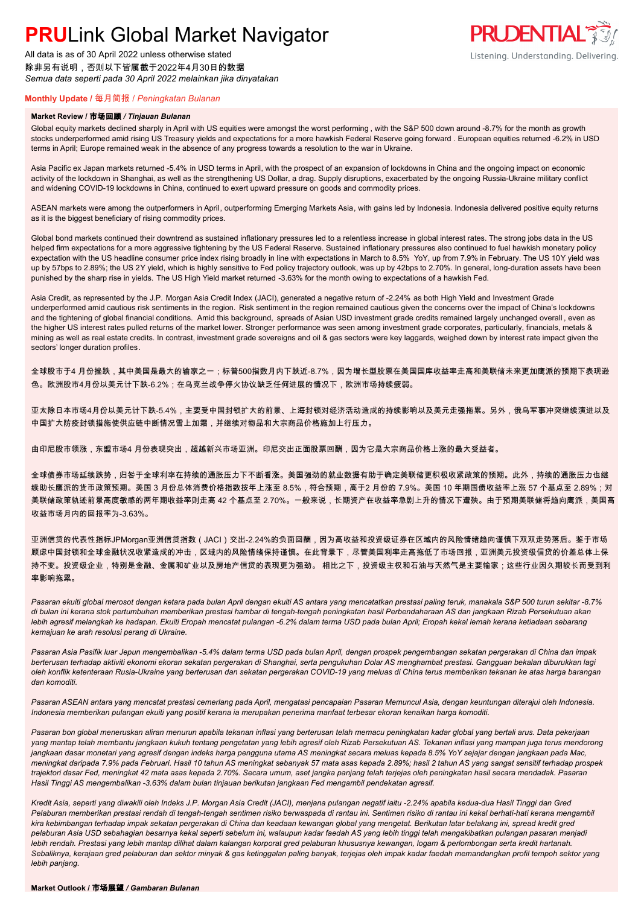All data is as of 30 April 2022 unless otherwise stated 除非另有说明,否则以下皆属截于2022年4月30日的数据 *Semua data seperti pada 30 April 2022 melainkan jika dinyatakan*

## **PRUDENTIAL** Listening. Understanding. Delivering.

### **Monthly Update /** 每月简报 / *Peningkatan Bulanan*

#### **Market Review /** 市场回顾 */ Tinjauan Bulanan*

Global equity markets declined sharply in April with US equities were amongst the worst performing , with the S&P 500 down around -8.7% for the month as growth stocks underperformed amid rising US Treasury yields and expectations for a more hawkish Federal Reserve going forward . European equities returned -6.2% in USD terms in April; Europe remained weak in the absence of any progress towards a resolution to the war in Ukraine.

Asia Pacific ex Japan markets returned -5.4% in USD terms in April, with the prospect of an expansion of lockdowns in China and the ongoing impact on economic activity of the lockdown in Shanghai, as well as the strengthening US Dollar, a drag. Supply disruptions, exacerbated by the ongoing Russia-Ukraine military conflict and widening COVID-19 lockdowns in China, continued to exert upward pressure on goods and commodity prices.

ASEAN markets were among the outperformers in April, outperforming Emerging Markets Asia, with gains led by Indonesia. Indonesia delivered positive equity returns as it is the biggest beneficiary of rising commodity prices.

Global bond markets continued their downtrend as sustained inflationary pressures led to a relentless increase in global interest rates. The strong jobs data in the US helped firm expectations for a more aggressive tightening by the US Federal Reserve. Sustained inflationary pressures also continued to fuel hawkish monetary policy expectation with the US headline consumer price index rising broadly in line with expectations in March to 8.5% YoY, up from 7.9% in February. The US 10Y yield was up by 57bps to 2.89%; the US 2Y yield, which is highly sensitive to Fed policy trajectory outlook, was up by 42bps to 2.70%. In general, long-duration assets have been punished by the sharp rise in yields. The US High Yield market returned -3.63% for the month owing to expectations of a hawkish Fed.

Asia Credit, as represented by the J.P. Morgan Asia Credit Index (JACI), generated a negative return of -2.24% as both High Yield and Investment Grade underperformed amid cautious risk sentiments in the region. Risk sentiment in the region remained cautious given the concerns over the impact of China's lockdowns and the tightening of global financial conditions. Amid this background, spreads of Asian USD investment grade credits remained largely unchanged overall , even as the higher US interest rates pulled returns of the market lower. Stronger performance was seen among investment grade corporates, particularly, financials, metals & mining as well as real estate credits. In contrast, investment grade sovereigns and oil & gas sectors were key laggards, weighed down by interest rate impact given the sectors' longer duration profiles.

全球股市于4 月份挫跌,其中美国是最大的输家之一;标普500指数月内下跌近-8.7%,因为增长型股票在美国国库收益率走高和美联储未来更加鹰派的预期下表现逊 色。欧洲股市4月份以美元计下跌-6.2%;在乌克兰战争停火协议缺乏任何进展的情况下,欧洲市场持续疲弱。

亚太除日本市场4月份以美元计下跌-5.4%,主要受中国封锁扩大的前景、上海封锁对经济活动造成的持续影响以及美元走强拖累。另外,俄乌军事冲突继续演进以及 中国扩大防疫封锁措施使供应链中断情况雪上加霜,并继续对物品和大宗商品价格施加上行压力。

由印尼股市领涨,东盟市场4 月份表现突出,超越新兴市场亚洲。印尼交出正面股票回酬,因为它是大宗商品价格上涨的最大受益者。

全球债券市场延续跌势,归咎于全球利率在持续的通胀压力下不断看涨。美国强劲的就业数据有助于确定美联储更积极收紧政策的预期。此外,持续的通胀压力也继 续助长鹰派的货币政策预期。美国 3 月份总体消费价格指数按年上涨至 8.5%,符合预期,高于2 月份的 7.9%。美国 10 年期国债收益率上涨 57 个基点至 2.89%;对 美联储政策轨迹前景高度敏感的两年期收益率则走高 42 个基点至 2.70%。一般来说,长期资产在收益率急剧上升的情况下遭殃。由于预期美联储将趋向鹰派,美国高 收益市场月内的回报率为-3.63%。

亚洲信贷的代表性指标JPMorgan亚洲信贷指数(JACI)交出-2.24%的负面回酬,因为高收益和投资级证券在区域内的风险情绪趋向谨慎下双双走势落后。鉴于市场 顾虑中国封锁和全球金融状况收紧造成的冲击,区域内的风险情绪保持谨慎。在此背景下,尽管美国利率走高拖低了市场回报,亚洲美元投资级信贷的价差总体上保 持不变。投资级企业,特别是金融、金属和矿业以及房地产信贷的表现更为强劲。 相比之下,投资级主权和石油与天然气是主要输家;这些行业因久期较长而受到利 率影响拖累。

*Pasaran ekuiti global merosot dengan ketara pada bulan April dengan ekuiti AS antara yang mencatatkan prestasi paling teruk, manakala S&P 500 turun sekitar -8.7% di bulan ini kerana stok pertumbuhan memberikan prestasi hambar di tengah-tengah peningkatan hasil Perbendaharaan AS dan jangkaan Rizab Persekutuan akan lebih agresif melangkah ke hadapan. Ekuiti Eropah mencatat pulangan -6.2% dalam terma USD pada bulan April; Eropah kekal lemah kerana ketiadaan sebarang kemajuan ke arah resolusi perang di Ukraine.*

*Pasaran Asia Pasifik luar Jepun mengembalikan -5.4% dalam terma USD pada bulan April, dengan prospek pengembangan sekatan pergerakan di China dan impak berterusan terhadap aktiviti ekonomi ekoran sekatan pergerakan di Shanghai, serta pengukuhan Dolar AS menghambat prestasi. Gangguan bekalan diburukkan lagi oleh konflik ketenteraan Rusia-Ukraine yang berterusan dan sekatan pergerakan COVID-19 yang meluas di China terus memberikan tekanan ke atas harga barangan dan komoditi.*

Pasaran ASEAN antara yang mencatat prestasi cemerlang pada April, mengatasi pencapaian Pasaran Memuncul Asia, dengan keuntungan diterajui oleh Indonesia. *Indonesia memberikan pulangan ekuiti yang positif kerana ia merupakan penerima manfaat terbesar ekoran kenaikan harga komoditi.*

*Pasaran bon global meneruskan aliran menurun apabila tekanan inflasi yang berterusan telah memacu peningkatan kadar global yang bertali arus. Data pekerjaan yang mantap telah membantu jangkaan kukuh tentang pengetatan yang lebih agresif oleh Rizab Persekutuan AS. Tekanan inflasi yang mampan juga terus mendorong jangkaan dasar monetari yang agresif dengan indeks harga pengguna utama AS meningkat secara meluas kepada 8.5% YoY sejajar dengan jangkaan pada Mac, meningkat daripada 7.9% pada Februari. Hasil 10 tahun AS meningkat sebanyak 57 mata asas kepada 2.89%; hasil 2 tahun AS yang sangat sensitif terhadap prospek trajektori dasar Fed, meningkat 42 mata asas kepada 2.70%. Secara umum, aset jangka panjang telah terjejas oleh peningkatan hasil secara mendadak. Pasaran Hasil Tinggi AS mengembalikan -3.63% dalam bulan tinjauan berikutan jangkaan Fed mengambil pendekatan agresif.*

*Kredit Asia, seperti yang diwakili oleh Indeks J.P. Morgan Asia Credit (JACI), menjana pulangan negatif iaitu -2.24% apabila kedua-dua Hasil Tinggi dan Gred Pelaburan memberikan prestasi rendah di tengah-tengah sentimen risiko berwaspada di rantau ini. Sentimen risiko di rantau ini kekal berhati-hati kerana mengambil kira kebimbangan terhadap impak sekatan pergerakan di China dan keadaan kewangan global yang mengetat. Berikutan latar belakang ini, spread kredit gred pelaburan Asia USD sebahagian besarnya kekal seperti sebelum ini, walaupun kadar faedah AS yang lebih tinggi telah mengakibatkan pulangan pasaran menjadi lebih rendah. Prestasi yang lebih mantap dilihat dalam kalangan korporat gred pelaburan khususnya kewangan, logam & perlombongan serta kredit hartanah. Sebaliknya, kerajaan gred pelaburan dan sektor minyak & gas ketinggalan paling banyak, terjejas oleh impak kadar faedah memandangkan profil tempoh sektor yang lebih panjang.*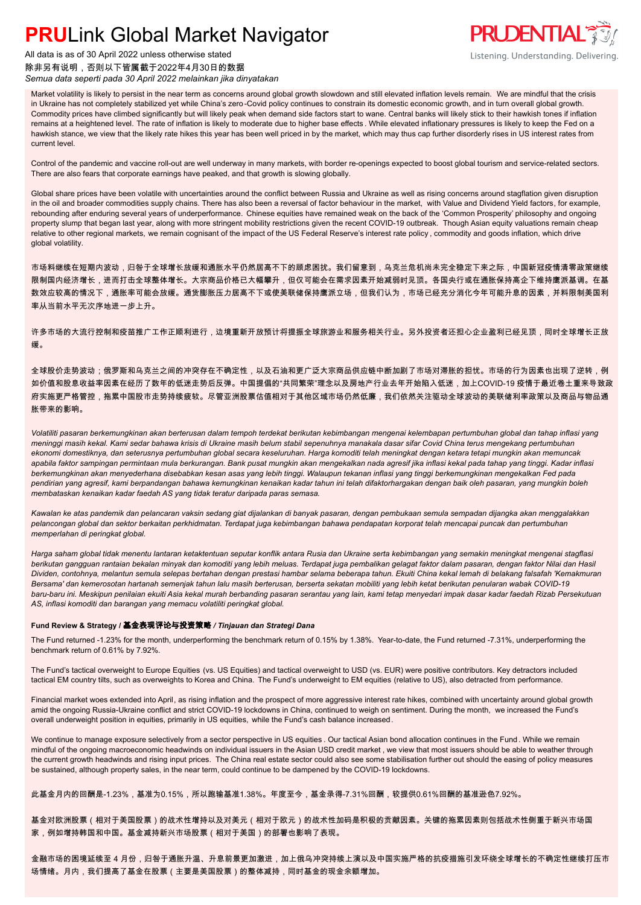

### 除非另有说明,否则以下皆属截于2022年4月30日的数据 *Semua data seperti pada 30 April 2022 melainkan jika dinyatakan*



Listening. Understanding. Delivering.

Market volatility is likely to persist in the near term as concerns around global growth slowdown and still elevated inflation levels remain. We are mindful that the crisis in Ukraine has not completely stabilized yet while China's zero-Covid policy continues to constrain its domestic economic growth, and in turn overall global growth. Commodity prices have climbed significantly but will likely peak when demand side factors start to wane. Central banks will likely stick to their hawkish tones if inflation remains at a heightened level. The rate of inflation is likely to moderate due to higher base effects. While elevated inflationary pressures is likely to keep the Fed on a hawkish stance, we view that the likely rate hikes this year has been well priced in by the market, which may thus cap further disorderly rises in US interest rates from current level.

Control of the pandemic and vaccine roll-out are well underway in many markets, with border re-openings expected to boost global tourism and service-related sectors. There are also fears that corporate earnings have peaked, and that growth is slowing globally.

Global share prices have been volatile with uncertainties around the conflict between Russia and Ukraine as well as rising concerns around stagflation given disruption in the oil and broader commodities supply chains. There has also been a reversal of factor behaviour in the market, with Value and Dividend Yield factors, for example, rebounding after enduring several years of underperformance. Chinese equities have remained weak on the back of the 'Common Prosperity' philosophy and ongoing property slump that began last year, along with more stringent mobility restrictions given the recent COVID-19 outbreak. Though Asian equity valuations remain cheap relative to other regional markets, we remain cognisant of the impact of the US Federal Reserve's interest rate policy , commodity and goods inflation, which drive global volatility.

市场料继续在短期内波动,归咎于全球增长放缓和通胀水平仍然居高不下的顾虑困扰。我们留意到,乌克兰危机尚未完全稳定下来之际,中国新冠疫情清零政策继续 限制国内经济增长,进而打击全球整体增长。大宗商品价格已大幅攀升,但仅可能会在需求因素开始减弱时见顶。各国央行或在通胀保持高企下维持鹰派基调。在基 数效应较高的情况下,通胀率可能会放缓。通货膨胀压力居高不下或使美联储保持鹰派立场,但我们认为,市场已经充分消化今年可能升息的因素,并料限制美国利 率从当前水平无次序地进一步上升。

许多市场的大流行控制和疫苗推广工作正顺利进行,边境重新开放预计将提振全球旅游业和服务相关行业。另外投资者还担心企业盈利已经见顶,同时全球增长正放 缓。

全球股价走势波动;俄罗斯和乌克兰之间的冲突存在不确定性,以及石油和更广泛大宗商品供应链中断加剧了市场对滞胀的担忧。市场的行为因素也出现了逆转,例 如价值和股息收益率因素在经历了数年的低迷走势后反弹。中国提倡的"共同繁荣"理念以及房地产行业去年开始陷入低迷,加上COVID-19 疫情于最近卷土重来导致政 府实施更严格管控,拖累中国股市走势持续疲软。尽管亚洲股票估值相对于其他区域市场仍然低廉,我们依然关注驱动全球波动的美联储利率政策以及商品与物品通 胀带来的影响。

*Volatiliti pasaran berkemungkinan akan berterusan dalam tempoh terdekat berikutan kebimbangan mengenai kelembapan pertumbuhan global dan tahap inflasi yang meninggi masih kekal. Kami sedar bahawa krisis di Ukraine masih belum stabil sepenuhnya manakala dasar sifar Covid China terus mengekang pertumbuhan ekonomi domestiknya, dan seterusnya pertumbuhan global secara keseluruhan. Harga komoditi telah meningkat dengan ketara tetapi mungkin akan memuncak apabila faktor sampingan permintaan mula berkurangan. Bank pusat mungkin akan mengekalkan nada agresif jika inflasi kekal pada tahap yang tinggi. Kadar inflasi berkemungkinan akan menyederhana disebabkan kesan asas yang lebih tinggi. Walaupun tekanan inflasi yang tinggi berkemungkinan mengekalkan Fed pada pendirian yang agresif, kami berpandangan bahawa kemungkinan kenaikan kadar tahun ini telah difaktorhargakan dengan baik oleh pasaran, yang mungkin boleh membataskan kenaikan kadar faedah AS yang tidak teratur daripada paras semasa.*

*Kawalan ke atas pandemik dan pelancaran vaksin sedang giat dijalankan di banyak pasaran, dengan pembukaan semula sempadan dijangka akan menggalakkan pelancongan global dan sektor berkaitan perkhidmatan. Terdapat juga kebimbangan bahawa pendapatan korporat telah mencapai puncak dan pertumbuhan memperlahan di peringkat global.*

*Harga saham global tidak menentu lantaran ketaktentuan seputar konflik antara Rusia dan Ukraine serta kebimbangan yang semakin meningkat mengenai stagflasi berikutan gangguan rantaian bekalan minyak dan komoditi yang lebih meluas. Terdapat juga pembalikan gelagat faktor dalam pasaran, dengan faktor Nilai dan Hasil Dividen, contohnya, melantun semula selepas bertahan dengan prestasi hambar selama beberapa tahun. Ekuiti China kekal lemah di belakang falsafah 'Kemakmuran Bersama' dan kemerosotan hartanah semenjak tahun lalu masih berterusan, berserta sekatan mobiliti yang lebih ketat berikutan penularan wabak COVID-19 baru-baru ini. Meskipun penilaian ekuiti Asia kekal murah berbanding pasaran serantau yang lain, kami tetap menyedari impak dasar kadar faedah Rizab Persekutuan AS, inflasi komoditi dan barangan yang memacu volatiliti peringkat global.*

#### **Fund Review & Strategy /** 基金表现评论与投资策略 */ Tinjauan dan Strategi Dana*

The Fund returned -1.23% for the month, underperforming the benchmark return of 0.15% by 1.38%. Year-to-date, the Fund returned -7.31%, underperforming the benchmark return of 0.61% by 7.92%.

The Fund's tactical overweight to Europe Equities (vs. US Equities) and tactical overweight to USD (vs. EUR) were positive contributors. Key detractors included tactical EM country tilts, such as overweights to Korea and China. The Fund's underweight to EM equities (relative to US), also detracted from performance.

Financial market woes extended into April, as rising inflation and the prospect of more aggressive interest rate hikes, combined with uncertainty around global growth amid the ongoing Russia-Ukraine conflict and strict COVID-19 lockdowns in China, continued to weigh on sentiment. During the month, we increased the Fund's overall underweight position in equities, primarily in US equities, while the Fund's cash balance increased.

We continue to manage exposure selectively from a sector perspective in US equities . Our tactical Asian bond allocation continues in the Fund . While we remain mindful of the ongoing macroeconomic headwinds on individual issuers in the Asian USD credit market , we view that most issuers should be able to weather through the current growth headwinds and rising input prices. The China real estate sector could also see some stabilisation further out should the easing of policy measures be sustained, although property sales, in the near term, could continue to be dampened by the COVID-19 lockdowns.

此基金月内的回酬是-1.23%,基准为0.15%,所以跑输基准1.38%。年度至今,基金录得-7.31%回酬,较提供0.61%回酬的基准逊色7.92%。

基金对欧洲股票(相对于美国股票)的战术性增持以及对美元(相对于欧元)的战术性加码是积极的贡献因素。关键的拖累因素则包括战术性侧重于新兴市场国 家,例如增持韩国和中国。基金减持新兴市场股票(相对于美国)的部署也影响了表现。

金融市场的困境延续至 4 月份,归咎于通胀升温、升息前景更加激进,加上俄乌冲突持续上演以及中国实施严格的抗疫措施引发环绕全球增长的不确定性继续打压市 场情绪。月内,我们提高了基金在股票(主要是美国股票)的整体减持,同时基金的现金余额增加。